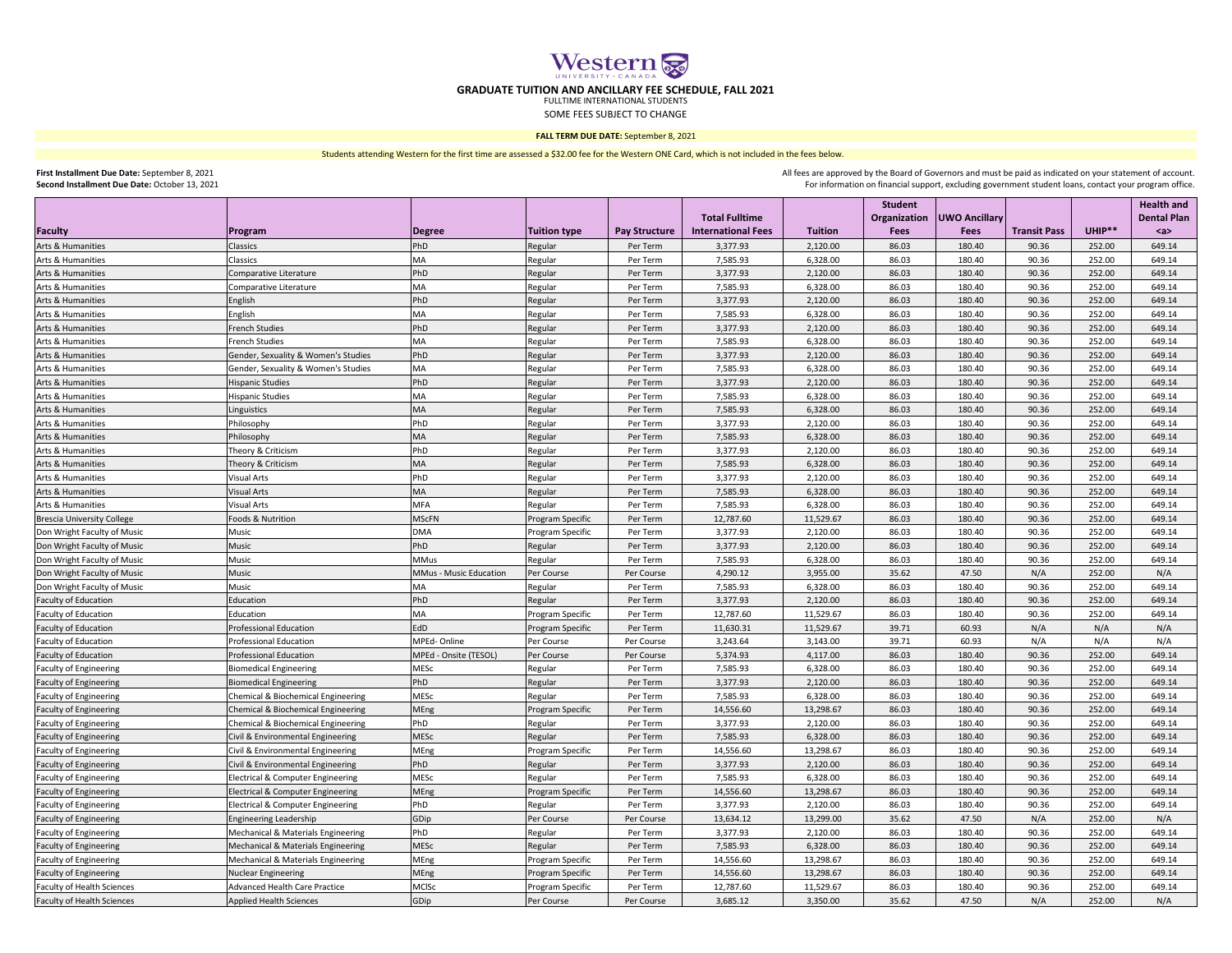|                                   |                                               |                        |                         |                      |                           |                | Student      |                      |                     |        | <b>Health and</b>  |
|-----------------------------------|-----------------------------------------------|------------------------|-------------------------|----------------------|---------------------------|----------------|--------------|----------------------|---------------------|--------|--------------------|
|                                   |                                               |                        |                         |                      | <b>Total Fulltime</b>     |                | Organization | <b>UWO Ancillary</b> |                     |        | <b>Dental Plan</b> |
| Faculty                           | <b>Program</b>                                | Degree                 | <b>Tuition type</b>     | <b>Pay Structure</b> | <b>International Fees</b> | <b>Tuition</b> | <b>Fees</b>  | <b>Fees</b>          | <b>Transit Pass</b> | UHIP** | $a$                |
| Arts & Humanities                 | Classics                                      | PhD                    | Regular                 | Per Term             | 3,377.93                  | 2,120.00       | 86.03        | 180.40               | 90.36               | 252.00 | 649.14             |
| Arts & Humanities                 | Classics                                      | <b>MA</b>              | Regular                 | Per Term             | 7,585.93                  | 6,328.00       | 86.03        | 180.40               | 90.36               | 252.00 | 649.14             |
| Arts & Humanities                 | Comparative Literature                        | PhD                    | Regular                 | Per Term             | 3,377.93                  | 2,120.00       | 86.03        | 180.40               | 90.36               | 252.00 | 649.14             |
| Arts & Humanities                 | Comparative Literature                        | <b>MA</b>              | Regular                 | Per Term             | 7,585.93                  | 6,328.00       | 86.03        | 180.40               | 90.36               | 252.00 | 649.14             |
| Arts & Humanities                 | English                                       | PhD                    | Regular                 | Per Term             | 3,377.93                  | 2,120.00       | 86.03        | 180.40               | 90.36               | 252.00 | 649.14             |
| Arts & Humanities                 | English                                       | <b>MA</b>              | Regular                 | Per Term             | 7,585.93                  | 6,328.00       | 86.03        | 180.40               | 90.36               | 252.00 | 649.14             |
| Arts & Humanities                 | <b>French Studies</b>                         | PhD                    | Regular                 | Per Term             | 3,377.93                  | 2,120.00       | 86.03        | 180.40               | 90.36               | 252.00 | 649.14             |
| Arts & Humanities                 | <b>French Studies</b>                         | <b>MA</b>              | Regular                 | Per Term             | 7,585.93                  | 6,328.00       | 86.03        | 180.40               | 90.36               | 252.00 | 649.14             |
| Arts & Humanities                 | Gender, Sexuality & Women's Studies           | PhD                    | Regular                 | Per Term             | 3,377.93                  | 2,120.00       | 86.03        | 180.40               | 90.36               | 252.00 | 649.14             |
| Arts & Humanities                 | Gender, Sexuality & Women's Studies           | <b>MA</b>              | Regular                 | Per Term             | 7,585.93                  | 6,328.00       | 86.03        | 180.40               | 90.36               | 252.00 | 649.14             |
| Arts & Humanities                 | <b>Hispanic Studies</b>                       | PhD                    | Regular                 | Per Term             | 3,377.93                  | 2,120.00       | 86.03        | 180.40               | 90.36               | 252.00 | 649.14             |
| Arts & Humanities                 | Hispanic Studies                              | <b>MA</b>              | Regular                 | Per Term             | 7,585.93                  | 6,328.00       | 86.03        | 180.40               | 90.36               | 252.00 | 649.14             |
| Arts & Humanities                 | Linguistics                                   | <b>MA</b>              | Regular                 | Per Term             | 7,585.93                  | 6,328.00       | 86.03        | 180.40               | 90.36               | 252.00 | 649.14             |
| Arts & Humanities                 | Philosophy                                    | PhD                    | Regular                 | Per Term             | 3,377.93                  | 2,120.00       | 86.03        | 180.40               | 90.36               | 252.00 | 649.14             |
| Arts & Humanities                 | Philosophy                                    | <b>MA</b>              | Regular                 | Per Term             | 7,585.93                  | 6,328.00       | 86.03        | 180.40               | 90.36               | 252.00 | 649.14             |
| Arts & Humanities                 | Theory & Criticism                            | PhD                    | Regular                 | Per Term             | 3,377.93                  | 2,120.00       | 86.03        | 180.40               | 90.36               | 252.00 | 649.14             |
| Arts & Humanities                 | Theory & Criticism                            | <b>MA</b>              | Regular                 | Per Term             | 7,585.93                  | 6,328.00       | 86.03        | 180.40               | 90.36               | 252.00 | 649.14             |
| Arts & Humanities                 | <b>Visual Arts</b>                            | PhD                    | Regular                 | Per Term             | 3,377.93                  | 2,120.00       | 86.03        | 180.40               | 90.36               | 252.00 | 649.14             |
| Arts & Humanities                 | <b>Visual Arts</b>                            | <b>MA</b>              | Regular                 | Per Term             | 7,585.93                  | 6,328.00       | 86.03        | 180.40               | 90.36               | 252.00 | 649.14             |
| Arts & Humanities                 | <b>Visual Arts</b>                            | <b>MFA</b>             | Regular                 | Per Term             | 7,585.93                  | 6,328.00       | 86.03        | 180.40               | 90.36               | 252.00 | 649.14             |
| <b>Brescia University College</b> | Foods & Nutrition                             | <b>MScFN</b>           | <b>Program Specific</b> | Per Term             | 12,787.60                 | 11,529.67      | 86.03        | 180.40               | 90.36               | 252.00 | 649.14             |
| Don Wright Faculty of Music       | Music                                         | <b>DMA</b>             | Program Specific        | Per Term             | 3,377.93                  | 2,120.00       | 86.03        | 180.40               | 90.36               | 252.00 | 649.14             |
| Don Wright Faculty of Music       | Music                                         | PhD                    | Regular                 | Per Term             | 3,377.93                  | 2,120.00       | 86.03        | 180.40               | 90.36               | 252.00 | 649.14             |
| Don Wright Faculty of Music       | Music                                         | <b>MMus</b>            | Regular                 | Per Term             | 7,585.93                  | 6,328.00       | 86.03        | 180.40               | 90.36               | 252.00 | 649.14             |
| Don Wright Faculty of Music       | Music                                         | MMus - Music Education | Per Course              | Per Course           | 4,290.12                  | 3,955.00       | 35.62        | 47.50                | N/A                 | 252.00 | N/A                |
| Don Wright Faculty of Music       | Music                                         | <b>MA</b>              | Regular                 | Per Term             | 7,585.93                  | 6,328.00       | 86.03        | 180.40               | 90.36               | 252.00 | 649.14             |
| <b>Faculty of Education</b>       | Education                                     | PhD                    | Regular                 | Per Term             | 3,377.93                  | 2,120.00       | 86.03        | 180.40               | 90.36               | 252.00 | 649.14             |
| <b>Faculty of Education</b>       | Education                                     | <b>MA</b>              | <b>Program Specific</b> | Per Term             | 12,787.60                 | 11,529.67      | 86.03        | 180.40               | 90.36               | 252.00 | 649.14             |
| <b>Faculty of Education</b>       | <b>Professional Education</b>                 | <b>EdD</b>             | <b>Program Specific</b> | Per Term             | 11,630.31                 | 11,529.67      | 39.71        | 60.93                | N/A                 | N/A    | N/A                |
| <b>Faculty of Education</b>       | <b>Professional Education</b>                 | MPEd-Online            | Per Course              | Per Course           | 3,243.64                  | 3,143.00       | 39.71        | 60.93                | N/A                 | N/A    | N/A                |
| Faculty of Education              | <b>Professional Education</b>                 | MPEd - Onsite (TESOL)  | Per Course              | Per Course           | 5,374.93                  | 4,117.00       | 86.03        | 180.40               | 90.36               | 252.00 | 649.14             |
| <b>Faculty of Engineering</b>     | <b>Biomedical Engineering</b>                 | <b>MESC</b>            | Regular                 | Per Term             | 7,585.93                  | 6,328.00       | 86.03        | 180.40               | 90.36               | 252.00 | 649.14             |
| <b>Faculty of Engineering</b>     | <b>Biomedical Engineering</b>                 | PhD                    | Regular                 | Per Term             | 3,377.93                  | 2,120.00       | 86.03        | 180.40               | 90.36               | 252.00 | 649.14             |
| <b>Faculty of Engineering</b>     | <b>Chemical &amp; Biochemical Engineering</b> | <b>MESC</b>            | Regular                 | Per Term             | 7,585.93                  | 6,328.00       | 86.03        | 180.40               | 90.36               | 252.00 | 649.14             |
| <b>Faculty of Engineering</b>     | <b>Chemical &amp; Biochemical Engineering</b> | MEng                   | Program Specific        | Per Term             | 14,556.60                 | 13,298.67      | 86.03        | 180.40               | 90.36               | 252.00 | 649.14             |
| <b>Faculty of Engineering</b>     | <b>Chemical &amp; Biochemical Engineering</b> | PhD                    | Regular                 | Per Term             | 3,377.93                  | 2,120.00       | 86.03        | 180.40               | 90.36               | 252.00 | 649.14             |
| <b>Faculty of Engineering</b>     | Civil & Environmental Engineering             | <b>MESC</b>            | Regular                 | Per Term             | 7,585.93                  | 6,328.00       | 86.03        | 180.40               | 90.36               | 252.00 | 649.14             |
| <b>Faculty of Engineering</b>     | Civil & Environmental Engineering             | MEng                   | <b>Program Specific</b> | Per Term             | 14,556.60                 | 13,298.67      | 86.03        | 180.40               | 90.36               | 252.00 | 649.14             |
| <b>Faculty of Engineering</b>     | Civil & Environmental Engineering             | PhD                    | Regular                 | Per Term             | 3,377.93                  | 2,120.00       | 86.03        | 180.40               | 90.36               | 252.00 | 649.14             |
| <b>Faculty of Engineering</b>     | Electrical & Computer Engineering             | <b>MESC</b>            | Regular                 | Per Term             | 7,585.93                  | 6,328.00       | 86.03        | 180.40               | 90.36               | 252.00 | 649.14             |
| <b>Faculty of Engineering</b>     | <b>Electrical &amp; Computer Engineering</b>  | MEng                   | <b>Program Specific</b> | Per Term             | 14,556.60                 | 13,298.67      | 86.03        | 180.40               | 90.36               | 252.00 | 649.14             |
| <b>Faculty of Engineering</b>     | <b>Electrical &amp; Computer Engineering</b>  | PhD                    | Regular                 | Per Term             | 3,377.93                  | 2,120.00       | 86.03        | 180.40               | 90.36               | 252.00 | 649.14             |
| <b>Faculty of Engineering</b>     | <b>Engineering Leadership</b>                 | GDip                   | Per Course              | Per Course           | 13,634.12                 | 13,299.00      | 35.62        | 47.50                | N/A                 | 252.00 | N/A                |
| <b>Faculty of Engineering</b>     | Mechanical & Materials Engineering            | PhD                    | Regular                 | Per Term             | 3,377.93                  | 2,120.00       | 86.03        | 180.40               | 90.36               | 252.00 | 649.14             |
| <b>Faculty of Engineering</b>     | Mechanical & Materials Engineering            | <b>MESC</b>            | Regular                 | Per Term             | 7,585.93                  | 6,328.00       | 86.03        | 180.40               | 90.36               | 252.00 | 649.14             |
| <b>Faculty of Engineering</b>     | Mechanical & Materials Engineering            | <b>MEng</b>            | <b>Program Specific</b> | Per Term             | 14,556.60                 | 13,298.67      | 86.03        | 180.40               | 90.36               | 252.00 | 649.14             |
| <b>Faculty of Engineering</b>     | Nuclear Engineering                           | MEng                   | Program Specific        | Per Term             | 14,556.60                 | 13,298.67      | 86.03        | 180.40               | 90.36               | 252.00 | 649.14             |
| <b>Faculty of Health Sciences</b> | <b>Advanced Health Care Practice</b>          | <b>MCISc</b>           | Program Specific        | Per Term             | 12,787.60                 | 11,529.67      | 86.03        | 180.40               | 90.36               | 252.00 | 649.14             |
| <b>Faculty of Health Sciences</b> | Applied Health Sciences                       | GDip                   | Per Course              | Per Course           | 3,685.12                  | 3,350.00       | 35.62        | 47.50                | N/A                 | 252.00 | N/A                |

## **GRADUATE TUITION AND ANCILLARY FEE SCHEDULE, FALL 2021**

FULLTIME INTERNATIONAL STUDENTS SOME FEES SUBJECT TO CHANGE

> For information on financial support, excluding government student loans, contact your program office. All fees are approved by the Board of Governors and must be paid as indicated on your statement of account.

**FALL TERM DUE DATE:** September 8, 2021

**First Installment Due Date:** September 8, 2021 **Second Installment Due Date:** October 13, 2021



Students attending Western for the first time are assessed a \$32.00 fee for the Western ONE Card, which is not included in the fees below.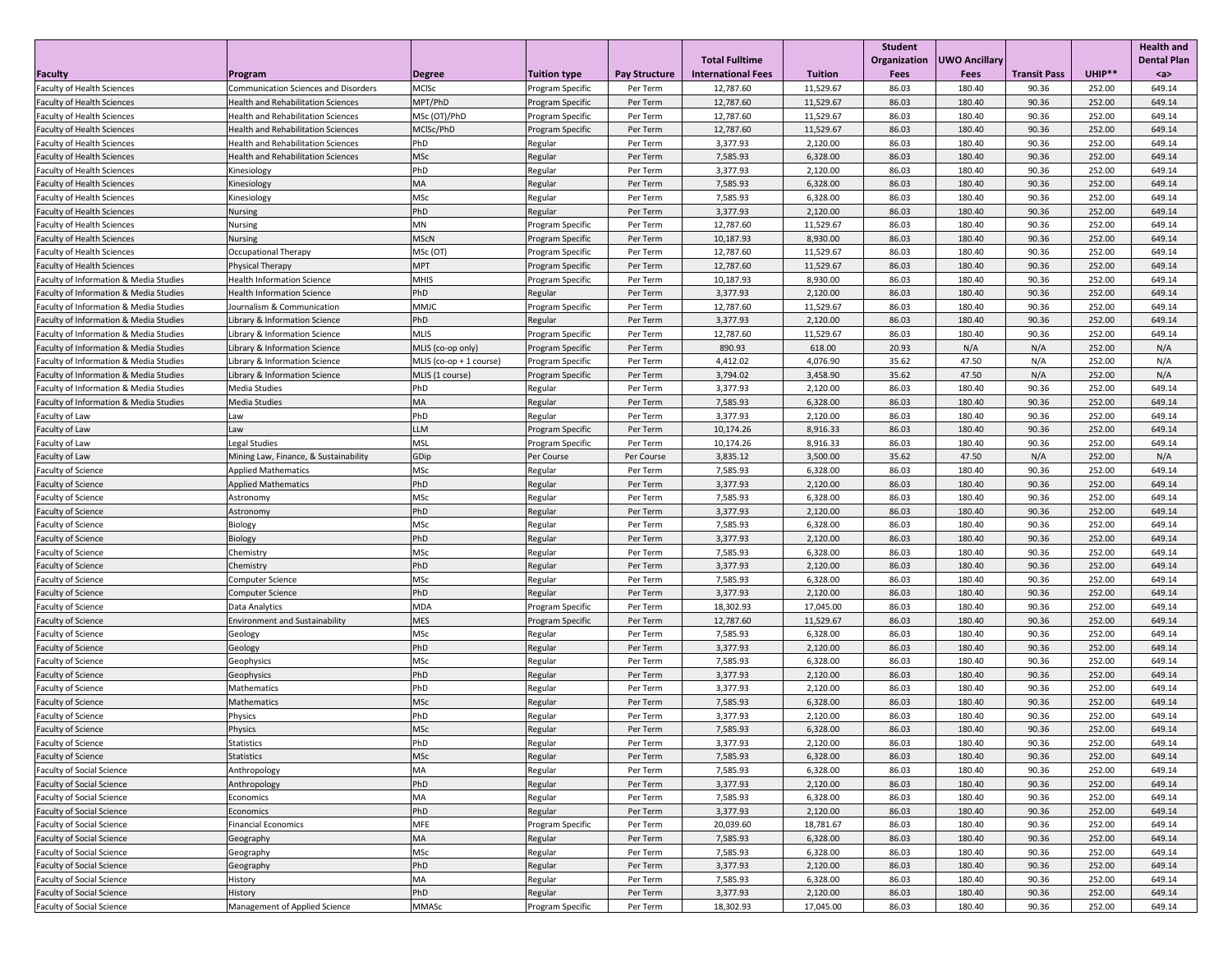|                                                        |                                                          |                         |                         |                      |                                                    |                      | <b>Student</b>              |                              |                     |                  | <b>Health and</b>         |
|--------------------------------------------------------|----------------------------------------------------------|-------------------------|-------------------------|----------------------|----------------------------------------------------|----------------------|-----------------------------|------------------------------|---------------------|------------------|---------------------------|
| Faculty                                                | <b>Program</b>                                           | Degree                  | Tuition type_           | <b>Pay Structure</b> | <b>Total Fulltime</b><br><b>International Fees</b> | <b>Tuition</b>       | Organization<br><b>Fees</b> | UWO Ancillary<br><b>Fees</b> | <b>Transit Pass</b> | UHIP**           | <b>Dental Plan</b><br>$a$ |
| <b>Faculty of Health Sciences</b>                      | <b>Communication Sciences and Disorders</b>              | <b>MCISc</b>            | Program Specific        | Per Term             | 12,787.60                                          | 11,529.67            | 86.03                       | 180.40                       | 90.36               | 252.00           | 649.14                    |
| <b>Faculty of Health Sciences</b>                      | <b>Health and Rehabilitation Sciences</b>                | MPT/PhD                 | Program Specific        | Per Term             | 12,787.60                                          | 11,529.67            | 86.03                       | 180.40                       | 90.36               | 252.00           | 649.14                    |
| <b>Faculty of Health Sciences</b>                      | <b>Health and Rehabilitation Sciences</b>                | MSc (OT)/PhD            | Program Specific        | Per Term             | 12,787.60                                          | 11,529.67            | 86.03                       | 180.40                       | 90.36               | 252.00           | 649.14                    |
| <b>Faculty of Health Sciences</b>                      | <b>Health and Rehabilitation Sciences</b>                | MCISc/PhD               | <b>Program Specific</b> | Per Term             | 12,787.60                                          | 11,529.67            | 86.03                       | 180.40                       | 90.36               | 252.00           | 649.14                    |
| <b>Faculty of Health Sciences</b>                      | <b>Health and Rehabilitation Sciences</b>                | PhD                     | Regular                 | Per Term             | 3,377.93                                           | 2,120.00             | 86.03                       | 180.40                       | 90.36               | 252.00           | 649.14                    |
| <b>Faculty of Health Sciences</b>                      | <b>Health and Rehabilitation Sciences</b>                | <b>MSc</b>              | Regular                 | Per Term             | 7,585.93                                           | 6,328.00             | 86.03                       | 180.40                       | 90.36               | 252.00           | 649.14                    |
| <b>Faculty of Health Sciences</b>                      | Kinesiology                                              | PhD                     | Regular                 | Per Term             | 3,377.93                                           | 2,120.00             | 86.03                       | 180.40                       | 90.36               | 252.00           | 649.14                    |
| <b>Faculty of Health Sciences</b>                      | Kinesiology                                              | MA                      | Regular                 | Per Term             | 7,585.93                                           | 6,328.00             | 86.03                       | 180.40                       | 90.36               | 252.00           | 649.14                    |
| <b>Faculty of Health Sciences</b>                      | Kinesiology                                              | <b>MSc</b>              | Regular                 | Per Term             | 7,585.93                                           | 6,328.00             | 86.03                       | 180.40                       | 90.36               | 252.00           | 649.14                    |
| <b>Faculty of Health Sciences</b>                      | <b>Nursing</b>                                           | PhD                     | Regular                 | Per Term             | 3,377.93                                           | 2,120.00             | 86.03                       | 180.40                       | 90.36               | 252.00           | 649.14                    |
| <b>Faculty of Health Sciences</b>                      | <b>Nursing</b>                                           | <b>MN</b>               | Program Specific        | Per Term             | 12,787.60                                          | 11,529.67            | 86.03                       | 180.40                       | 90.36               | 252.00           | 649.14                    |
| <b>Faculty of Health Sciences</b>                      | <b>Nursing</b>                                           | <b>MScN</b>             | <b>Program Specific</b> | Per Term             | 10,187.93                                          | 8,930.00             | 86.03                       | 180.40                       | 90.36               | 252.00           | 649.14                    |
| <b>Faculty of Health Sciences</b>                      | <b>Occupational Therapy</b>                              | MSc (OT)                | Program Specific        | Per Term             | 12,787.60                                          | 11,529.67            | 86.03                       | 180.40                       | 90.36               | 252.00           | 649.14                    |
| <b>Faculty of Health Sciences</b>                      | Physical Therapy                                         | <b>MPT</b>              | <b>Program Specific</b> | Per Term             | 12,787.60                                          | 11,529.67            | 86.03                       | 180.40                       | 90.36               | 252.00           | 649.14                    |
| <b>Faculty of Information &amp; Media Studies</b>      | <b>Health Information Science</b>                        | <b>MHIS</b>             | Program Specific        | Per Term             | 10,187.93                                          | 8,930.00             | 86.03                       | 180.40                       | 90.36               | 252.00           | 649.14                    |
| <b>Faculty of Information &amp; Media Studies</b>      | <b>Health Information Science</b>                        | PhD                     | Regular                 | Per Term             | 3,377.93                                           | 2,120.00             | 86.03                       | 180.40                       | 90.36               | 252.00           | 649.14                    |
| <b>Faculty of Information &amp; Media Studies</b>      | Journalism & Communication                               | <b>MMJC</b>             | Program Specific        | Per Term             | 12,787.60                                          | 11,529.67            | 86.03                       | 180.40                       | 90.36               | 252.00           | 649.14                    |
| <b>Faculty of Information &amp; Media Studies</b>      | Library & Information Science                            | PhD                     | Regular                 | Per Term             | 3,377.93                                           | 2,120.00             | 86.03                       | 180.40                       | 90.36               | 252.00           | 649.14                    |
| <b>Faculty of Information &amp; Media Studies</b>      | Library & Information Science                            | <b>MLIS</b>             | Program Specific        | Per Term             | 12,787.60                                          | 11,529.67            | 86.03                       | 180.40                       | 90.36               | 252.00           | 649.14                    |
| <b>Faculty of Information &amp; Media Studies</b>      | Library & Information Science                            | MLIS (co-op only)       | <b>Program Specific</b> | Per Term             | 890.93                                             | 618.00               | 20.93                       | N/A                          | N/A                 | 252.00           | N/A                       |
| <b>Faculty of Information &amp; Media Studies</b>      | Library & Information Science                            | MLIS (co-op + 1 course) | Program Specific        | Per Term             | 4,412.02                                           | 4,076.90             | 35.62                       | 47.50                        | N/A                 | 252.00           | N/A                       |
| <b>Faculty of Information &amp; Media Studies</b>      | Library & Information Science                            | MLIS (1 course)         | <b>Program Specific</b> | Per Term             | 3,794.02                                           | 3,458.90             | 35.62                       | 47.50                        | N/A                 | 252.00           | N/A                       |
| <b>Faculty of Information &amp; Media Studies</b>      | Media Studies                                            | PhD                     | Regular                 | Per Term             | 3,377.93                                           | 2,120.00             | 86.03                       | 180.40                       | 90.36               | 252.00           | 649.14                    |
| <b>Faculty of Information &amp; Media Studies</b>      | Media Studies                                            | <b>MA</b>               | Regular                 | Per Term             | 7,585.93                                           | 6,328.00             | 86.03                       | 180.40                       | 90.36               | 252.00           | 649.14                    |
| <b>Faculty of Law</b>                                  | Law                                                      | PhD                     | Regular                 | Per Term             | 3,377.93                                           | 2,120.00             | 86.03                       | 180.40                       | 90.36               | 252.00           | 649.14                    |
| <b>Faculty of Law</b>                                  | Law                                                      | <b>LLM</b>              | <b>Program Specific</b> | Per Term             | 10,174.26                                          | 8,916.33             | 86.03                       | 180.40                       | 90.36               | 252.00           | 649.14                    |
| <b>Faculty of Law</b>                                  | Legal Studies                                            | <b>MSL</b>              | Program Specific        | Per Term             | 10,174.26                                          | 8,916.33             | 86.03                       | 180.40                       | 90.36               | 252.00           | 649.14                    |
| <b>Faculty of Law</b>                                  | Mining Law, Finance, & Sustainability                    | GDip                    | Per Course              | Per Course           | 3,835.12                                           | 3,500.00             | 35.62<br>86.03              | 47.50                        | N/A<br>90.36        | 252.00           | N/A                       |
| <b>Faculty of Science</b>                              | <b>Applied Mathematics</b><br><b>Applied Mathematics</b> | <b>MSc</b><br>PhD       | Regular                 | Per Term<br>Per Term | 7,585.93<br>3,377.93                               | 6,328.00<br>2,120.00 | 86.03                       | 180.40<br>180.40             | 90.36               | 252.00<br>252.00 | 649.14<br>649.14          |
| <b>Faculty of Science</b>                              |                                                          | <b>MSc</b>              | Regular                 | Per Term             | 7,585.93                                           | 6,328.00             | 86.03                       | 180.40                       | 90.36               | 252.00           | 649.14                    |
| <b>Faculty of Science</b><br><b>Faculty of Science</b> | Astronomy<br>Astronomy                                   | PhD                     | Regular<br>Regular      | Per Term             | 3,377.93                                           | 2,120.00             | 86.03                       | 180.40                       | 90.36               | 252.00           | 649.14                    |
| <b>Faculty of Science</b>                              | Biology                                                  | <b>MSc</b>              | Regular                 | Per Term             | 7,585.93                                           | 6,328.00             | 86.03                       | 180.40                       | 90.36               | 252.00           | 649.14                    |
| <b>Faculty of Science</b>                              | Biology                                                  | PhD                     | Regular                 | Per Term             | 3,377.93                                           | 2,120.00             | 86.03                       | 180.40                       | 90.36               | 252.00           | 649.14                    |
| <b>Faculty of Science</b>                              | Chemistry                                                | <b>MSc</b>              | Regular                 | Per Term             | 7,585.93                                           | 6,328.00             | 86.03                       | 180.40                       | 90.36               | 252.00           | 649.14                    |
| <b>Faculty of Science</b>                              | Chemistry                                                | PhD                     | Regular                 | Per Term             | 3,377.93                                           | 2,120.00             | 86.03                       | 180.40                       | 90.36               | 252.00           | 649.14                    |
| <b>Faculty of Science</b>                              | Computer Science                                         | <b>MSc</b>              | Regular                 | Per Term             | 7,585.93                                           | 6,328.00             | 86.03                       | 180.40                       | 90.36               | 252.00           | 649.14                    |
| <b>Faculty of Science</b>                              | <b>Computer Science</b>                                  | PhD                     | Regular                 | Per Term             | 3,377.93                                           | 2,120.00             | 86.03                       | 180.40                       | 90.36               | 252.00           | 649.14                    |
| <b>Faculty of Science</b>                              | Data Analytics                                           | <b>MDA</b>              | Program Specific        | Per Term             | 18,302.93                                          | 17,045.00            | 86.03                       | 180.40                       | 90.36               | 252.00           | 649.14                    |
| <b>Faculty of Science</b>                              | <b>Environment and Sustainability</b>                    | <b>MES</b>              | <b>Program Specific</b> | Per Term             | 12,787.60                                          | 11,529.67            | 86.03                       | 180.40                       | 90.36               | 252.00           | 649.14                    |
| <b>Faculty of Science</b>                              | Geology                                                  | <b>MSc</b>              | Regular                 | Per Term             | 7,585.93                                           | 6,328.00             | 86.03                       | 180.40                       | 90.36               | 252.00           | 649.14                    |
| <b>Faculty of Science</b>                              | Geology                                                  | PhD                     | Regular                 | Per Term             | 3,377.93                                           | 2,120.00             | 86.03                       | 180.40                       | 90.36               | 252.00           | 649.14                    |
| <b>Faculty of Science</b>                              | Geophysics                                               | <b>MSc</b>              | Regular                 | Per Term             | 7,585.93                                           | 6,328.00             | 86.03                       | 180.40                       | 90.36               | 252.00           | 649.14                    |
| <b>Faculty of Science</b>                              | Geophysics                                               | PhD                     | Regular                 | Per Term             | 3,377.93                                           | 2,120.00             | 86.03                       | 180.40                       | 90.36               | 252.00           | 649.14                    |
| <b>Faculty of Science</b>                              | Mathematics                                              | PhD                     | Regular                 | Per Term             | 3,377.93                                           | 2,120.00             | 86.03                       | 180.40                       | 90.36               | 252.00           | 649.14                    |
| <b>Faculty of Science</b>                              | Mathematics                                              | MSc                     | Regular                 | Per Term             | 7,585.93                                           | 6,328.00             | 86.03                       | 180.40                       | 90.36               | 252.00           | 649.14                    |
| <b>Faculty of Science</b>                              | Physics                                                  | PhD                     | Regular                 | Per Term             | 3,377.93                                           | 2,120.00             | 86.03                       | 180.40                       | 90.36               | 252.00           | 649.14                    |
| <b>Faculty of Science</b>                              | Physics                                                  | <b>MSc</b>              | Regular                 | Per Term             | 7,585.93                                           | 6,328.00             | 86.03                       | 180.40                       | 90.36               | 252.00           | 649.14                    |
| <b>Faculty of Science</b>                              | Statistics                                               | PhD                     | Regular                 | Per Term             | 3,377.93                                           | 2,120.00             | 86.03                       | 180.40                       | 90.36               | 252.00           | 649.14                    |
| <b>Faculty of Science</b>                              | Statistics                                               | <b>MSc</b>              | Regular                 | Per Term             | 7,585.93                                           | 6,328.00             | 86.03                       | 180.40                       | 90.36               | 252.00           | 649.14                    |
| <b>Faculty of Social Science</b>                       | Anthropology                                             | MA                      | Regular                 | Per Term             | 7,585.93                                           | 6,328.00             | 86.03                       | 180.40                       | 90.36               | 252.00           | 649.14                    |
| <b>Faculty of Social Science</b>                       | Anthropology                                             | PhD                     | Regular                 | Per Term             | 3,377.93                                           | 2,120.00             | 86.03                       | 180.40                       | 90.36               | 252.00           | 649.14                    |
| <b>Faculty of Social Science</b>                       | Economics                                                | MA                      | Regular                 | Per Term             | 7,585.93                                           | 6,328.00             | 86.03                       | 180.40                       | 90.36               | 252.00           | 649.14                    |
| <b>Faculty of Social Science</b>                       | Economics                                                | PhD                     | Regular                 | Per Term             | 3,377.93                                           | 2,120.00             | 86.03                       | 180.40                       | 90.36               | 252.00           | 649.14                    |
| <b>Faculty of Social Science</b>                       | <b>Financial Economics</b>                               | <b>MFE</b>              | Program Specific        | Per Term             | 20,039.60                                          | 18,781.67            | 86.03                       | 180.40                       | 90.36               | 252.00           | 649.14                    |
| <b>Faculty of Social Science</b>                       | Geography                                                | <b>MA</b>               | Regular                 | Per Term             | 7,585.93                                           | 6,328.00             | 86.03                       | 180.40                       | 90.36               | 252.00           | 649.14                    |
| <b>Faculty of Social Science</b>                       | Geography                                                | <b>MSc</b>              | Regular                 | Per Term             | 7,585.93                                           | 6,328.00             | 86.03                       | 180.40                       | 90.36               | 252.00           | 649.14                    |
| <b>Faculty of Social Science</b>                       | Geography                                                | PhD                     | Regular                 | Per Term             | 3,377.93                                           | 2,120.00             | 86.03                       | 180.40                       | 90.36               | 252.00           | 649.14                    |
| <b>Faculty of Social Science</b>                       | History                                                  | <b>MA</b>               | Regular                 | Per Term             | 7,585.93                                           | 6,328.00             | 86.03                       | 180.40                       | 90.36               | 252.00           | 649.14                    |
| <b>Faculty of Social Science</b>                       | History                                                  | PhD                     | Regular                 | Per Term             | 3,377.93                                           | 2,120.00             | 86.03                       | 180.40                       | 90.36               | 252.00           | 649.14                    |
| <b>Faculty of Social Science</b>                       | <b>Management of Applied Science</b>                     | <b>MMASc</b>            | Program Specific        | Per Term             | 18,302.93                                          | 17,045.00            | 86.03                       | 180.40                       | 90.36               | 252.00           | 649.14                    |